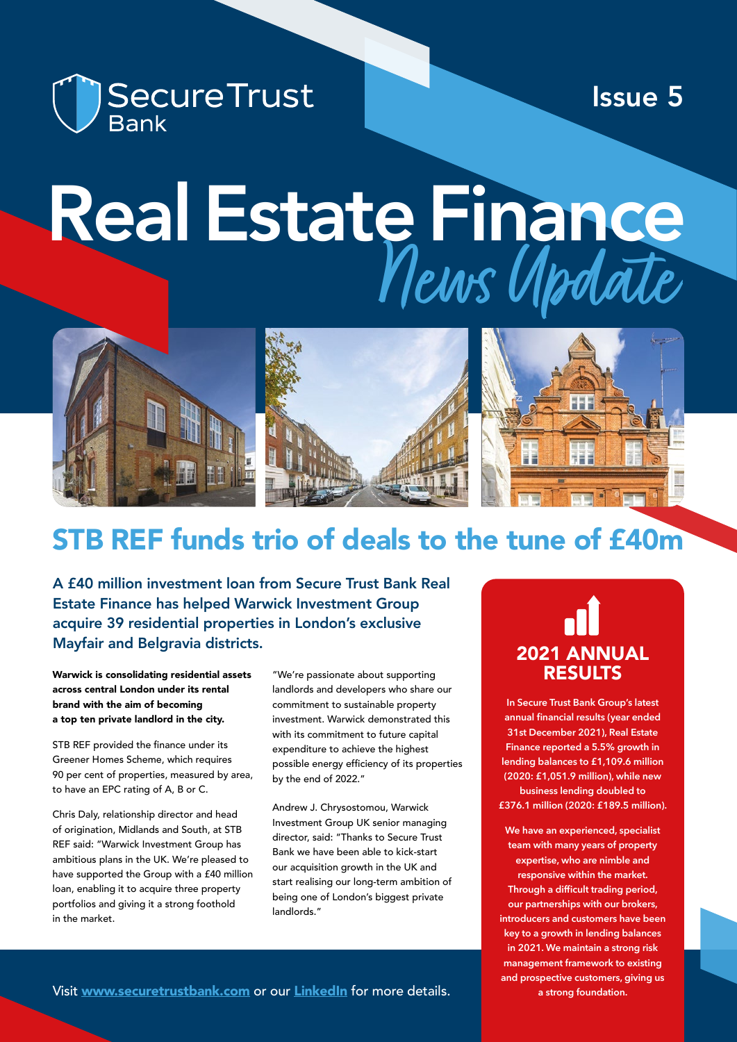

Issue 5

# News Update Real Estate Finance



# STB REF funds trio of deals to the tune of £40m

A £40 million investment loan from Secure Trust Bank Real Estate Finance has helped Warwick Investment Group acquire 39 residential properties in London's exclusive Mayfair and Belgravia districts.

Warwick is consolidating residential assets across central London under its rental brand with the aim of becoming a top ten private landlord in the city.

STB REF provided the finance under its Greener Homes Scheme, which requires 90 per cent of properties, measured by area, to have an EPC rating of A, B or C.

Chris Daly, relationship director and head of origination, Midlands and South, at STB REF said: "Warwick Investment Group has ambitious plans in the UK. We're pleased to have supported the Group with a £40 million loan, enabling it to acquire three property portfolios and giving it a strong foothold in the market.

"We're passionate about supporting landlords and developers who share our commitment to sustainable property investment. Warwick demonstrated this with its commitment to future capital expenditure to achieve the highest possible energy efficiency of its properties by the end of 2022."

Andrew J. Chrysostomou, Warwick Investment Group UK senior managing director, said: "Thanks to Secure Trust Bank we have been able to kick-start our acquisition growth in the UK and start realising our long-term ambition of being one of London's biggest private landlords."

# 2021 ANNUAL RESULTS

**In Secure Trust Bank Group's latest annual financial results (year ended 31st December 2021), Real Estate Finance reported a 5.5% growth in lending balances to £1,109.6 million (2020: £1,051.9 million), while new business lending doubled to £376.1 million (2020: £189.5 million).**

**We have an experienced, specialist team with many years of property expertise, who are nimble and responsive within the market. Through a difficult trading period, our partnerships with our brokers, introducers and customers have been key to a growth in lending balances in 2021. We maintain a strong risk management framework to existing and prospective customers, giving us a strong foundation.**

Visit [www.securetrustbank.com](http://www.securetrustbank.com) or our [L](https://www.linkedin.com/showcase/secure-trust-bank-real-estate-finance/)[inkedIn](https://www.linkedin.com/showcase/secure-trust-bank-real-estate-finance) for more details.